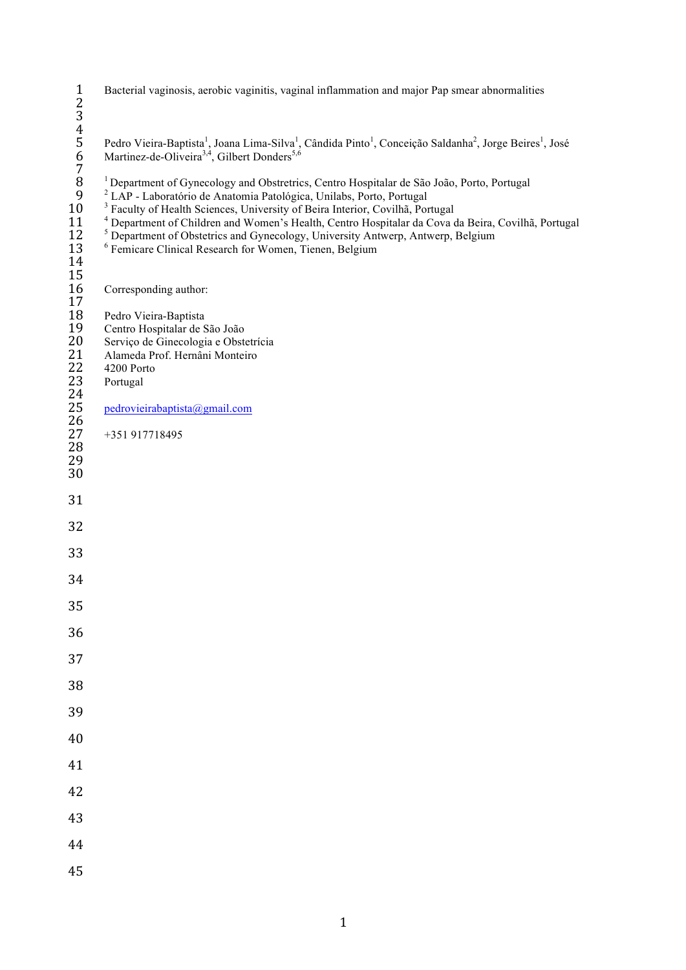|                                                                                       | Bacterial vaginosis, aerobic vaginitis, vaginal inflammation and major Pap smear abnormalities                                                                                                                                                                                                                                                                                                                                                                                                                                                                            |
|---------------------------------------------------------------------------------------|---------------------------------------------------------------------------------------------------------------------------------------------------------------------------------------------------------------------------------------------------------------------------------------------------------------------------------------------------------------------------------------------------------------------------------------------------------------------------------------------------------------------------------------------------------------------------|
| 123456789                                                                             | Pedro Vieira-Baptista <sup>1</sup> , Joana Lima-Silva <sup>1</sup> , Cândida Pinto <sup>1</sup> , Conceição Saldanha <sup>2</sup> , Jorge Beires <sup>1</sup> , José Martinez-de-Oliveira <sup>3,4</sup> , Gilbert Donders <sup>5,6</sup>                                                                                                                                                                                                                                                                                                                                 |
| 10<br>11<br>12<br>13<br>14                                                            | <sup>1</sup> Department of Gynecology and Obstretrics, Centro Hospitalar de São João, Porto, Portugal<br><sup>2</sup> LAP - Laboratório de Anatomia Patológica, Unilabs, Porto, Portugal<br><sup>3</sup> Faculty of Health Sciences, University of Beira Interior, Covilhã, Portugal<br><sup>4</sup> Department of Children and Women's Health, Centro Hospitalar da Cova da Beira, Covilhã, Portugal<br><sup>5</sup> Department of Obstetrics and Gynecology, University Antwerp, Antwerp, Belgium<br><sup>6</sup> Femicare Clinical Research for Women, Tienen, Belgium |
| 15<br>16<br>17                                                                        | Corresponding author:                                                                                                                                                                                                                                                                                                                                                                                                                                                                                                                                                     |
| 18<br>19<br>$20\,$<br>21<br>22<br>23<br>$\frac{24}{25}$<br>26<br>27<br>28<br>29<br>30 | Pedro Vieira-Baptista<br>Centro Hospitalar de São João<br>Serviço de Ginecologia e Obstetrícia<br>Alameda Prof. Hernâni Monteiro<br>4200 Porto<br>Portugal<br>pedrovieirabaptista@gmail.com<br>+351 917718495                                                                                                                                                                                                                                                                                                                                                             |
| 31                                                                                    |                                                                                                                                                                                                                                                                                                                                                                                                                                                                                                                                                                           |
| 32                                                                                    |                                                                                                                                                                                                                                                                                                                                                                                                                                                                                                                                                                           |
| 33                                                                                    |                                                                                                                                                                                                                                                                                                                                                                                                                                                                                                                                                                           |
| 34                                                                                    |                                                                                                                                                                                                                                                                                                                                                                                                                                                                                                                                                                           |
| 35                                                                                    |                                                                                                                                                                                                                                                                                                                                                                                                                                                                                                                                                                           |
| 36                                                                                    |                                                                                                                                                                                                                                                                                                                                                                                                                                                                                                                                                                           |
| 37                                                                                    |                                                                                                                                                                                                                                                                                                                                                                                                                                                                                                                                                                           |
| 38                                                                                    |                                                                                                                                                                                                                                                                                                                                                                                                                                                                                                                                                                           |
| 39                                                                                    |                                                                                                                                                                                                                                                                                                                                                                                                                                                                                                                                                                           |
| 40                                                                                    |                                                                                                                                                                                                                                                                                                                                                                                                                                                                                                                                                                           |
| 41                                                                                    |                                                                                                                                                                                                                                                                                                                                                                                                                                                                                                                                                                           |
| 42                                                                                    |                                                                                                                                                                                                                                                                                                                                                                                                                                                                                                                                                                           |
| 43                                                                                    |                                                                                                                                                                                                                                                                                                                                                                                                                                                                                                                                                                           |
| 44                                                                                    |                                                                                                                                                                                                                                                                                                                                                                                                                                                                                                                                                                           |
| 45                                                                                    |                                                                                                                                                                                                                                                                                                                                                                                                                                                                                                                                                                           |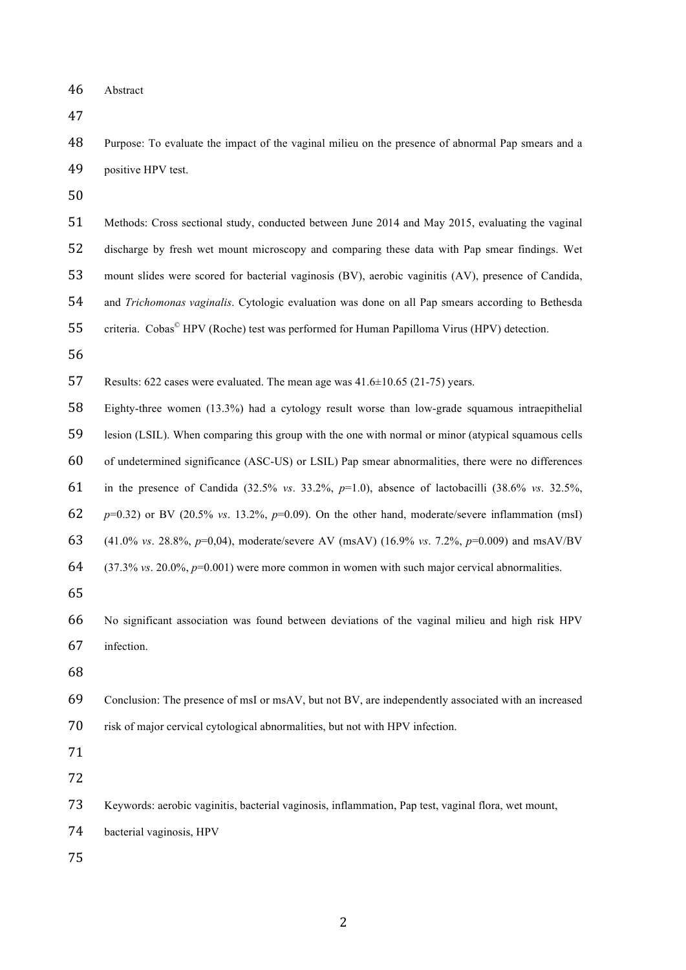Abstract

 Purpose: To evaluate the impact of the vaginal milieu on the presence of abnormal Pap smears and a positive HPV test.

- Methods: Cross sectional study, conducted between June 2014 and May 2015, evaluating the vaginal discharge by fresh wet mount microscopy and comparing these data with Pap smear findings. Wet mount slides were scored for bacterial vaginosis (BV), aerobic vaginitis (AV), presence of Candida, and *Trichomonas vaginalis*. Cytologic evaluation was done on all Pap smears according to Bethesda 55 criteria. Cobas<sup>©</sup> HPV (Roche) test was performed for Human Papilloma Virus (HPV) detection.
- Results: 622 cases were evaluated. The mean age was 41.6±10.65 (21-75) years.

 Eighty-three women (13.3%) had a cytology result worse than low-grade squamous intraepithelial lesion (LSIL). When comparing this group with the one with normal or minor (atypical squamous cells of undetermined significance (ASC-US) or LSIL) Pap smear abnormalities, there were no differences in the presence of Candida (32.5% *vs*. 33.2%, *p*=1.0), absence of lactobacilli (38.6% *vs*. 32.5%, *p*=0.32) or BV (20.5% *vs*. 13.2%, *p*=0.09). On the other hand, moderate/severe inflammation (msI) (41.0% *vs*. 28.8%, *p*=0,04), moderate/severe AV (msAV) (16.9% *vs*. 7.2%, *p*=0.009) and msAV/BV (37.3% *vs*. 20.0%, *p*=0.001) were more common in women with such major cervical abnormalities.

 No significant association was found between deviations of the vaginal milieu and high risk HPV infection.

 Conclusion: The presence of msI or msAV, but not BV, are independently associated with an increased risk of major cervical cytological abnormalities, but not with HPV infection.

- Keywords: aerobic vaginitis, bacterial vaginosis, inflammation, Pap test, vaginal flora, wet mount, bacterial vaginosis, HPV
-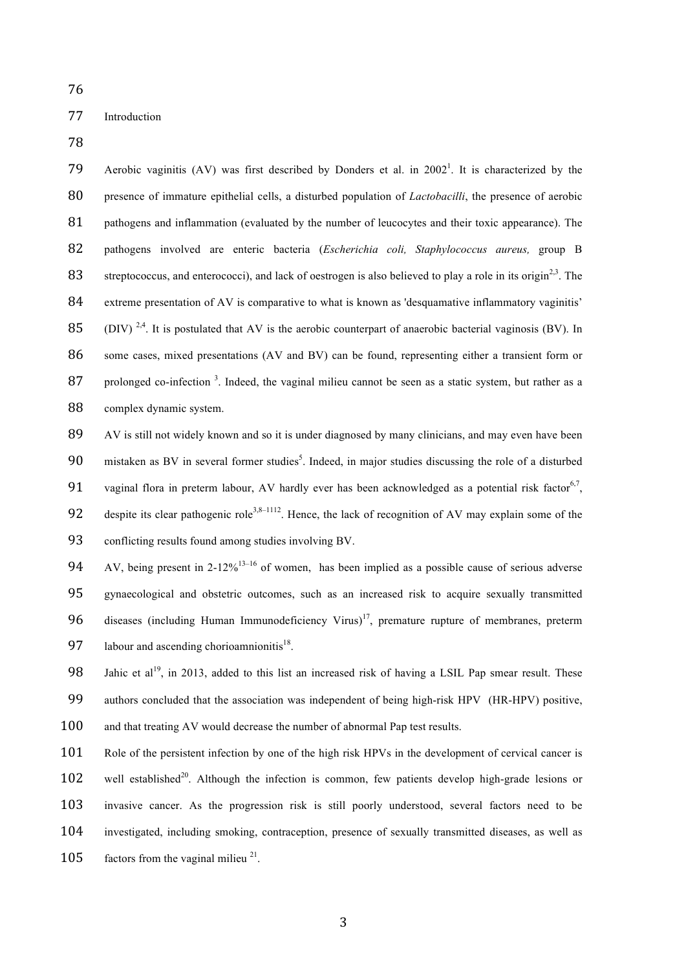76

## 77 Introduction

78

79 Aerobic vaginitis (AV) was first described by Donders et al. in  $2002<sup>1</sup>$ . It is characterized by the 80 presence of immature epithelial cells, a disturbed population of *Lactobacilli*, the presence of aerobic 81 pathogens and inflammation (evaluated by the number of leucocytes and their toxic appearance). The 82 pathogens involved are enteric bacteria (*Escherichia coli, Staphylococcus aureus,* group B 83 streptococcus, and enterococci), and lack of oestrogen is also believed to play a role in its origin<sup>2,3</sup>. The 84 extreme presentation of AV is comparative to what is known as 'desquamative inflammatory vaginitis'  $85$  . (DIV) <sup>2,4</sup>. It is postulated that AV is the aerobic counterpart of anaerobic bacterial vaginosis (BV). In 86 some cases, mixed presentations (AV and BV) can be found, representing either a transient form or 87 prolonged co-infection<sup>3</sup>. Indeed, the vaginal milieu cannot be seen as a static system, but rather as a 88 complex dynamic system.

89 AV is still not widely known and so it is under diagnosed by many clinicians, and may even have been 90 mistaken as BV in several former studies<sup>5</sup>. Indeed, in major studies discussing the role of a disturbed 91 vaginal flora in preterm labour, AV hardly ever has been acknowledged as a potential risk factor<sup>6,7</sup>, 92 despite its clear pathogenic role<sup>3,8–1112</sup>. Hence, the lack of recognition of AV may explain some of the 93 conflicting results found among studies involving BV.

94 AV, being present in 2-12%<sup>13-16</sup> of women, has been implied as a possible cause of serious adverse 95 gynaecological and obstetric outcomes, such as an increased risk to acquire sexually transmitted  $96$  diseases (including Human Immunodeficiency Virus)<sup>17</sup>, premature rupture of membranes, preterm 97 labour and ascending chorioamnionitis<sup>18</sup>.

98 Jahic et al<sup>19</sup>, in 2013, added to this list an increased risk of having a LSIL Pap smear result. These 99 authors concluded that the association was independent of being high-risk HPV (HR-HPV) positive, 100 and that treating AV would decrease the number of abnormal Pap test results.

101 Role of the persistent infection by one of the high risk HPVs in the development of cervical cancer is 102 well established<sup>20</sup>. Although the infection is common, few patients develop high-grade lesions or 103 invasive cancer. As the progression risk is still poorly understood, several factors need to be 104 investigated, including smoking, contraception, presence of sexually transmitted diseases, as well as 105 factors from the vaginal milieu  $2<sup>1</sup>$ .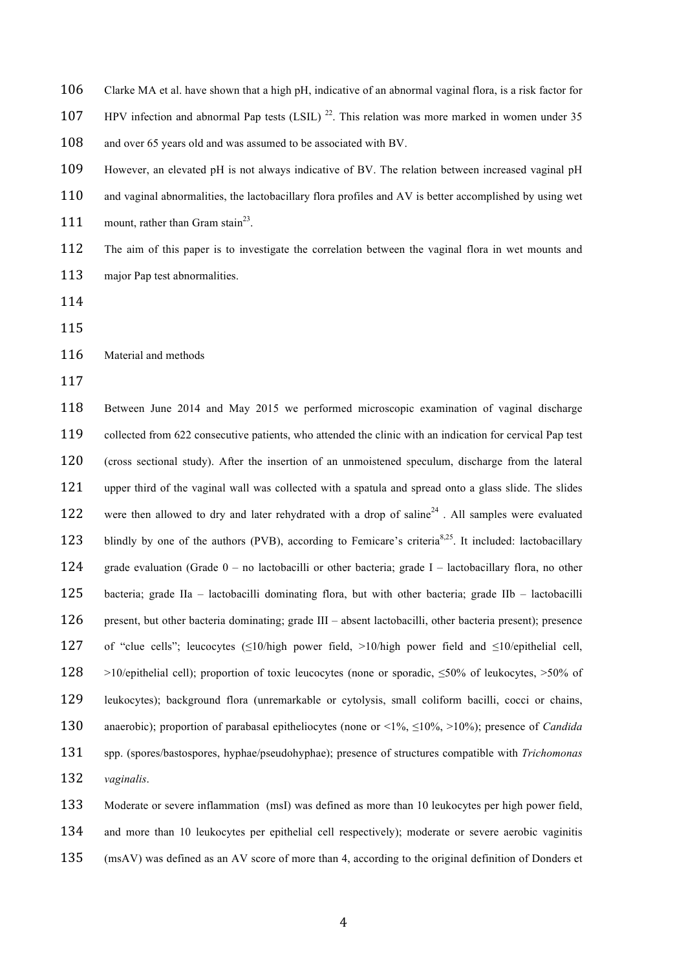Clarke MA et al. have shown that a high pH, indicative of an abnormal vaginal flora, is a risk factor for 107 HPV infection and abnormal Pap tests (LSIL)<sup>22</sup>. This relation was more marked in women under 35 108 and over 65 years old and was assumed to be associated with BV. However, an elevated pH is not always indicative of BV. The relation between increased vaginal pH 110 and vaginal abnormalities, the lactobacillary flora profiles and AV is better accomplished by using wet 111 mount, rather than Gram stain<sup>23</sup>.

 The aim of this paper is to investigate the correlation between the vaginal flora in wet mounts and 113 major Pap test abnormalities.

Material and methods

 Between June 2014 and May 2015 we performed microscopic examination of vaginal discharge collected from 622 consecutive patients, who attended the clinic with an indication for cervical Pap test (cross sectional study). After the insertion of an unmoistened speculum, discharge from the lateral 121 upper third of the vaginal wall was collected with a spatula and spread onto a glass slide. The slides 122 were then allowed to dry and later rehydrated with a drop of saline<sup>24</sup>. All samples were evaluated 123 blindly by one of the authors (PVB), according to Femicare's criteria<sup>8,25</sup>. It included: lactobacillary grade evaluation (Grade 0 – no lactobacilli or other bacteria; grade I – lactobacillary flora, no other bacteria; grade IIa – lactobacilli dominating flora, but with other bacteria; grade IIb – lactobacilli present, but other bacteria dominating; grade III – absent lactobacilli, other bacteria present); presence of "clue cells"; leucocytes (≤10/high power field, >10/high power field and ≤10/epithelial cell, >10/epithelial cell); proportion of toxic leucocytes (none or sporadic, ≤50% of leukocytes, >50% of leukocytes); background flora (unremarkable or cytolysis, small coliform bacilli, cocci or chains, anaerobic); proportion of parabasal epitheliocytes (none or <1%, ≤10%, >10%); presence of *Candida* spp. (spores/bastospores, hyphae/pseudohyphae); presence of structures compatible with *Trichomonas vaginalis*. Moderate or severe inflammation (msI) was defined as more than 10 leukocytes per high power field,

 and more than 10 leukocytes per epithelial cell respectively); moderate or severe aerobic vaginitis (msAV) was defined as an AV score of more than 4, according to the original definition of Donders et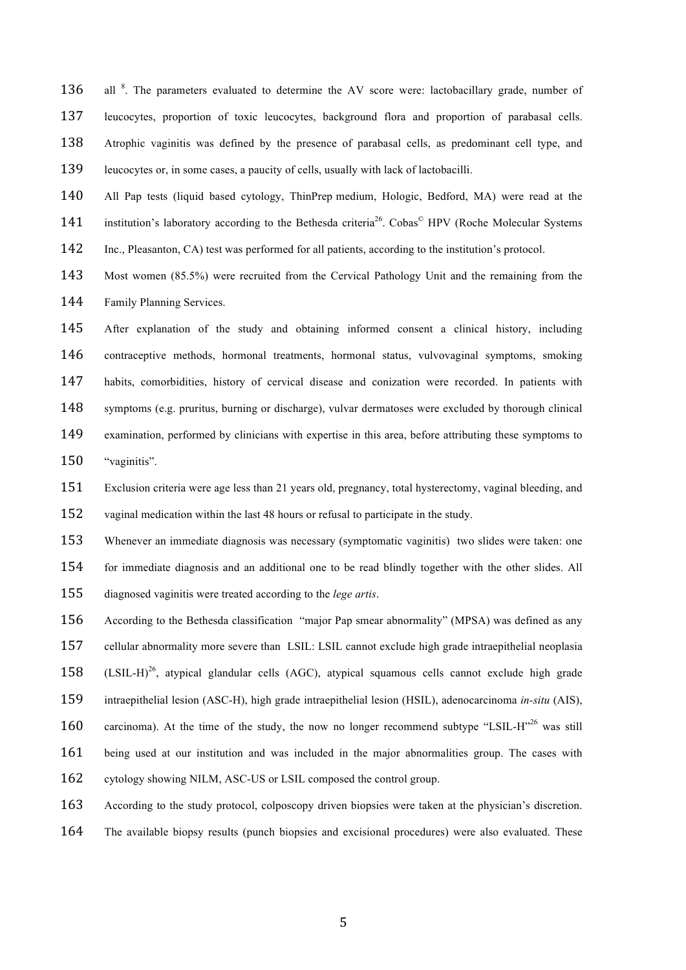136 all <sup>8</sup>. The parameters evaluated to determine the AV score were: lactobacillary grade, number of leucocytes, proportion of toxic leucocytes, background flora and proportion of parabasal cells. Atrophic vaginitis was defined by the presence of parabasal cells, as predominant cell type, and leucocytes or, in some cases, a paucity of cells, usually with lack of lactobacilli.

 All Pap tests (liquid based cytology, ThinPrep medium, Hologic, Bedford, MA) were read at the 141 institution's laboratory according to the Bethesda criteria<sup>26</sup>. Cobas<sup>©</sup> HPV (Roche Molecular Systems

Inc., Pleasanton, CA) test was performed for all patients, according to the institution's protocol.

 Most women (85.5%) were recruited from the Cervical Pathology Unit and the remaining from the Family Planning Services.

 After explanation of the study and obtaining informed consent a clinical history, including contraceptive methods, hormonal treatments, hormonal status, vulvovaginal symptoms, smoking habits, comorbidities, history of cervical disease and conization were recorded. In patients with symptoms (e.g. pruritus, burning or discharge), vulvar dermatoses were excluded by thorough clinical examination, performed by clinicians with expertise in this area, before attributing these symptoms to 150 "vaginitis".

 Exclusion criteria were age less than 21 years old, pregnancy, total hysterectomy, vaginal bleeding, and vaginal medication within the last 48 hours or refusal to participate in the study.

 Whenever an immediate diagnosis was necessary (symptomatic vaginitis) two slides were taken: one for immediate diagnosis and an additional one to be read blindly together with the other slides. All diagnosed vaginitis were treated according to the *lege artis*.

 According to the Bethesda classification "major Pap smear abnormality" (MPSA) was defined as any cellular abnormality more severe than LSIL: LSIL cannot exclude high grade intraepithelial neoplasia (LSIL-H)<sup>26</sup>, atypical glandular cells (AGC), atypical squamous cells cannot exclude high grade intraepithelial lesion (ASC-H), high grade intraepithelial lesion (HSIL), adenocarcinoma *in-situ* (AIS), 160 carcinoma). At the time of the study, the now no longer recommend subtype "LSIL-H"<sup>26</sup> was still being used at our institution and was included in the major abnormalities group. The cases with cytology showing NILM, ASC-US or LSIL composed the control group.

 According to the study protocol, colposcopy driven biopsies were taken at the physician's discretion. The available biopsy results (punch biopsies and excisional procedures) were also evaluated. These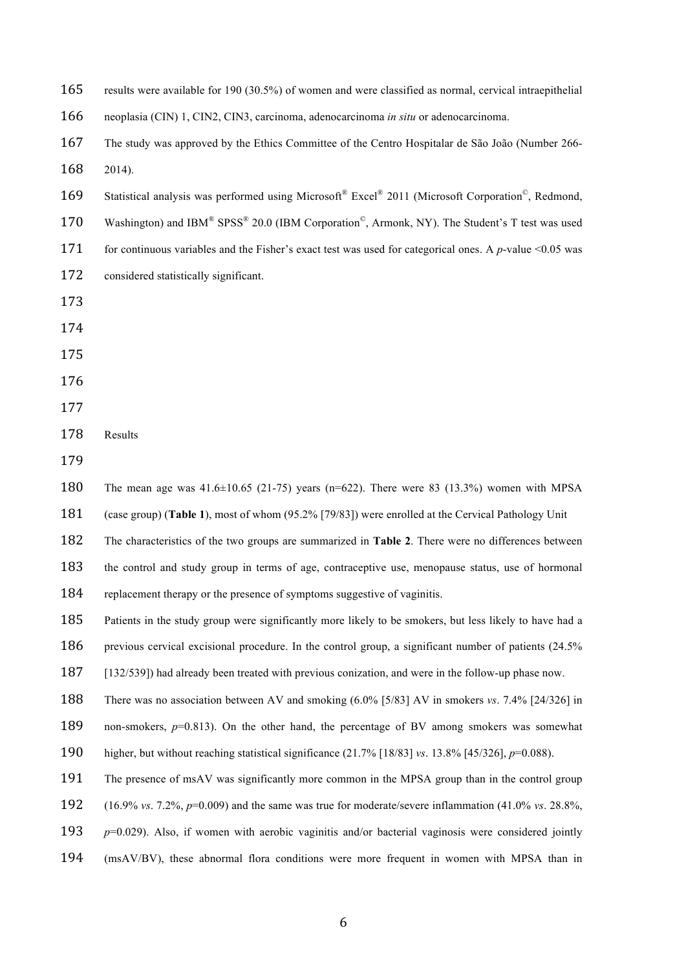| 165 | results were available for 190 (30.5%) of women and were classified as normal, cervical intraepithelial                       |
|-----|-------------------------------------------------------------------------------------------------------------------------------|
| 166 | neoplasia (CIN) 1, CIN2, CIN3, carcinoma, adenocarcinoma in situ or adenocarcinoma.                                           |
| 167 | The study was approved by the Ethics Committee of the Centro Hospitalar de São João (Number 266-                              |
| 168 | 2014).                                                                                                                        |
| 169 | Statistical analysis was performed using Microsoft® Excel® 2011 (Microsoft Corporation®, Redmond,                             |
| 170 | Washington) and IBM® SPSS® 20.0 (IBM Corporation <sup>©</sup> , Armonk, NY). The Student's T test was used                    |
| 171 | for continuous variables and the Fisher's exact test was used for categorical ones. A $p$ -value <0.05 was                    |
| 172 | considered statistically significant.                                                                                         |
| 173 |                                                                                                                               |
| 174 |                                                                                                                               |
| 175 |                                                                                                                               |
| 176 |                                                                                                                               |
| 177 |                                                                                                                               |
| 178 | Results                                                                                                                       |
| 179 |                                                                                                                               |
| 180 | The mean age was $41.6 \pm 10.65$ (21-75) years (n=622). There were 83 (13.3%) women with MPSA                                |
| 181 | (case group) (Table 1), most of whom (95.2% [79/83]) were enrolled at the Cervical Pathology Unit                             |
| 182 | The characteristics of the two groups are summarized in Table 2. There were no differences between                            |
| 183 | the control and study group in terms of age, contraceptive use, menopause status, use of hormonal                             |
| 184 | replacement therapy or the presence of symptoms suggestive of vaginitis.                                                      |
| 185 | Patients in the study group were significantly more likely to be smokers, but less likely to have had a                       |
| 186 | previous cervical excisional procedure. In the control group, a significant number of patients (24.5%)                        |
| 187 | [132/539]) had already been treated with previous conization, and were in the follow-up phase now.                            |
| 188 | There was no association between AV and smoking $(6.0\%$ [5/83] AV in smokers vs. 7.4% [24/326] in                            |
| 189 | non-smokers, $p=0.813$ ). On the other hand, the percentage of BV among smokers was somewhat                                  |
| 190 | higher, but without reaching statistical significance $(21.7\%$ [18/83] vs. 13.8% [45/326], p=0.088).                         |
| 191 | The presence of msAV was significantly more common in the MPSA group than in the control group                                |
| 192 | $(16.9\% \text{ vs. } 7.2\%, p=0.009)$ and the same was true for moderate/severe inflammation $(41.0\% \text{ vs. } 28.8\%$ , |
| 193 | $p=0.029$ ). Also, if women with aerobic vaginitis and/or bacterial vaginosis were considered jointly                         |
| 194 | (msAV/BV), these abnormal flora conditions were more frequent in women with MPSA than in                                      |
|     |                                                                                                                               |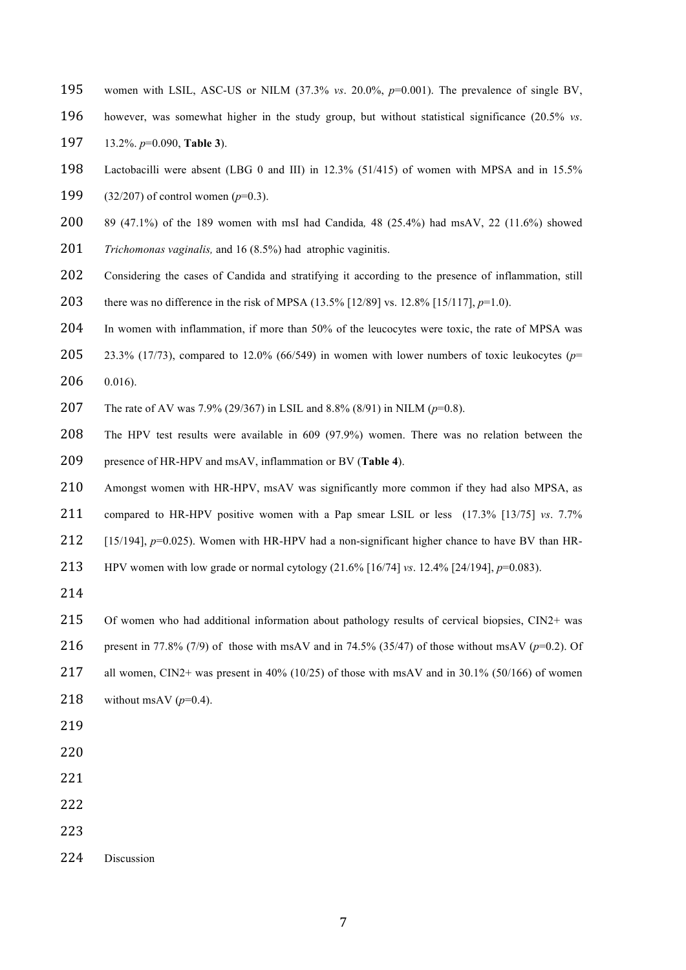- women with LSIL, ASC-US or NILM (37.3% *vs*. 20.0%, *p*=0.001). The prevalence of single BV,
- however, was somewhat higher in the study group, but without statistical significance (20.5% *vs*. 13.2%. *p*=0.090, **Table 3**).
- Lactobacilli were absent (LBG 0 and III) in 12.3% (51/415) of women with MPSA and in 15.5%

(32/207) of control women (*p*=0.3).

- 89 (47.1%) of the 189 women with msI had Candida*,* 48 (25.4%) had msAV, 22 (11.6%) showed
- *Trichomonas vaginalis,* and 16 (8.5%) had atrophic vaginitis.
- 202 Considering the cases of Candida and stratifying it according to the presence of inflammation, still
- there was no difference in the risk of MPSA (13.5% [12/89] vs. 12.8% [15/117], *p*=1.0).
- In women with inflammation, if more than 50% of the leucocytes were toxic, the rate of MPSA was
- 205 23.3% (17/73), compared to 12.0% (66/549) in women with lower numbers of toxic leukocytes ( $p=$ 0.016).
- The rate of AV was 7.9% (29/367) in LSIL and 8.8% (8/91) in NILM (*p*=0.8).
- The HPV test results were available in 609 (97.9%) women. There was no relation between the presence of HR-HPV and msAV, inflammation or BV (**Table 4**).
- Amongst women with HR-HPV, msAV was significantly more common if they had also MPSA, as
- compared to HR-HPV positive women with a Pap smear LSIL or less (17.3% [13/75] *vs*. 7.7%
- 212 [15/194], *p*=0.025). Women with HR-HPV had a non-significant higher chance to have BV than HR-
- HPV women with low grade or normal cytology (21.6% [16/74] *vs*. 12.4% [24/194], *p*=0.083).
- 
- 215 Of women who had additional information about pathology results of cervical biopsies, CIN2+ was
- present in 77.8% (7/9) of those with msAV and in 74.5% (35/47) of those without msAV (*p*=0.2). Of
- all women, CIN2+ was present in 40% (10/25) of those with msAV and in 30.1% (50/166) of women
- 218 without msAV  $(p=0.4)$ .
- 
- 
- 
- 
- 
- 
- Discussion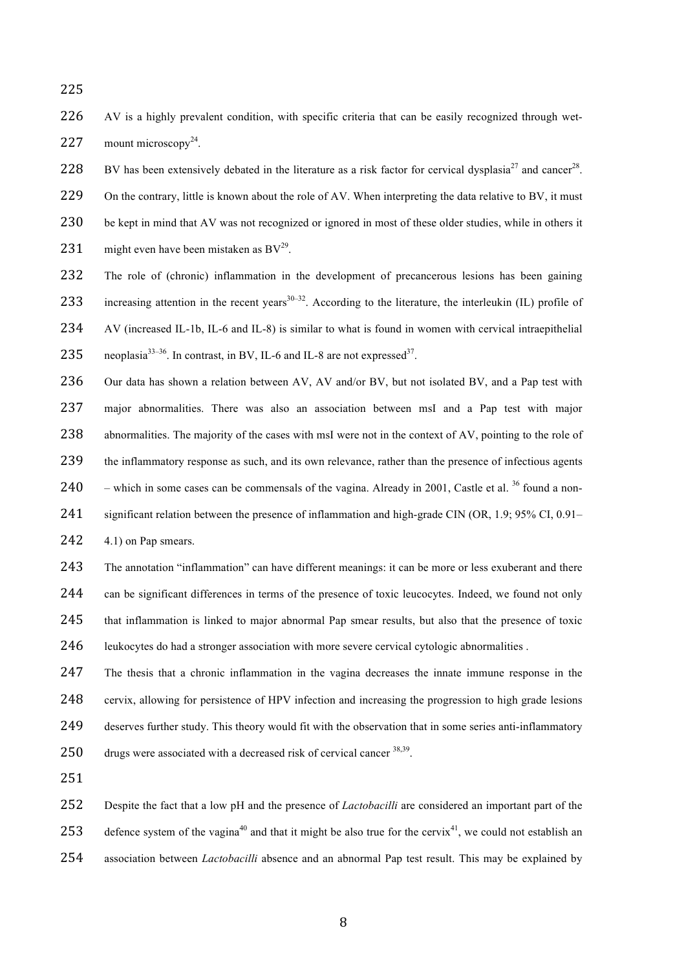225

226 AV is a highly prevalent condition, with specific criteria that can be easily recognized through wet-227 mount microscopy<sup>24</sup>.

228 BV has been extensively debated in the literature as a risk factor for cervical dysplasia<sup>27</sup> and cancer<sup>28</sup>.

229 On the contrary, little is known about the role of AV. When interpreting the data relative to BV, it must

230 be kept in mind that AV was not recognized or ignored in most of these older studies, while in others it

231 might even have been mistaken as  $BV<sup>29</sup>$ .

- 232 The role of (chronic) inflammation in the development of precancerous lesions has been gaining 233 increasing attention in the recent years<sup>30–32</sup>. According to the literature, the interleukin (IL) profile of 234 AV (increased IL-1b, IL-6 and IL-8) is similar to what is found in women with cervical intraepithelial 235 neoplasia<sup>33–36</sup>. In contrast, in BV, IL-6 and IL-8 are not expressed<sup>37</sup>.
- 236 Our data has shown a relation between AV, AV and/or BV, but not isolated BV, and a Pap test with 237 major abnormalities. There was also an association between msI and a Pap test with major 238 abnormalities. The majority of the cases with msI were not in the context of AV, pointing to the role of 239 the inflammatory response as such, and its own relevance, rather than the presence of infectious agents 240 – which in some cases can be commensals of the vagina. Already in 2001, Castle et al.  $36$  found a non-241 significant relation between the presence of inflammation and high-grade CIN (OR, 1.9; 95% CI, 0.91– 242 4.1) on Pap smears.

 The annotation "inflammation" can have different meanings: it can be more or less exuberant and there 244 can be significant differences in terms of the presence of toxic leucocytes. Indeed, we found not only that inflammation is linked to major abnormal Pap smear results, but also that the presence of toxic leukocytes do had a stronger association with more severe cervical cytologic abnormalities .

 The thesis that a chronic inflammation in the vagina decreases the innate immune response in the cervix, allowing for persistence of HPV infection and increasing the progression to high grade lesions deserves further study. This theory would fit with the observation that in some series anti-inflammatory  $\frac{d\cos\theta}{dx}$  drugs were associated with a decreased risk of cervical cancer  $\frac{38,39}{5}$ .

251

252 Despite the fact that a low pH and the presence of *Lactobacilli* are considered an important part of the 253 defence system of the vagina<sup>40</sup> and that it might be also true for the cervix<sup>41</sup>, we could not establish an 254 association between *Lactobacilli* absence and an abnormal Pap test result. This may be explained by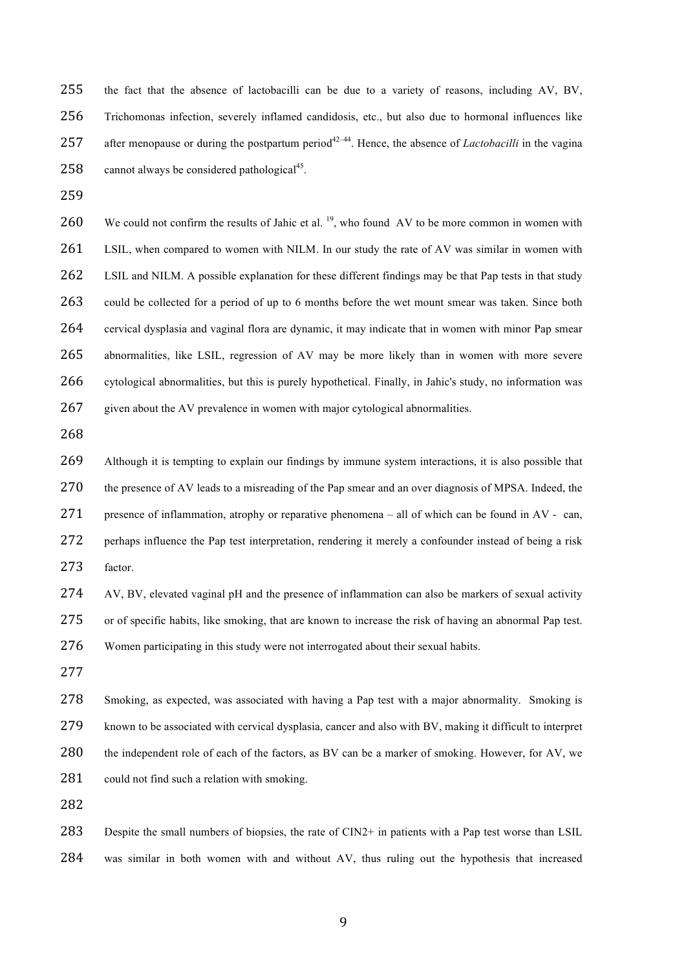the fact that the absence of lactobacilli can be due to a variety of reasons, including AV, BV, Trichomonas infection, severely inflamed candidosis, etc., but also due to hormonal influences like 257 after menopause or during the postpartum period<sup>42–44</sup>. Hence, the absence of *Lactobacilli* in the vagina 258 cannot always be considered pathological<sup>45</sup>.

260 We could not confirm the results of Jahic et al.  $^{19}$ , who found AV to be more common in women with 261 LSIL, when compared to women with NILM. In our study the rate of AV was similar in women with 262 LSIL and NILM. A possible explanation for these different findings may be that Pap tests in that study could be collected for a period of up to 6 months before the wet mount smear was taken. Since both cervical dysplasia and vaginal flora are dynamic, it may indicate that in women with minor Pap smear abnormalities, like LSIL, regression of AV may be more likely than in women with more severe cytological abnormalities, but this is purely hypothetical. Finally, in Jahic's study, no information was 267 given about the AV prevalence in women with major cytological abnormalities.

 Although it is tempting to explain our findings by immune system interactions, it is also possible that the presence of AV leads to a misreading of the Pap smear and an over diagnosis of MPSA. Indeed, the 271 presence of inflammation, atrophy or reparative phenomena – all of which can be found in  $AV - can$ . 272 perhaps influence the Pap test interpretation, rendering it merely a confounder instead of being a risk factor.

 AV, BV, elevated vaginal pH and the presence of inflammation can also be markers of sexual activity or of specific habits, like smoking, that are known to increase the risk of having an abnormal Pap test. Women participating in this study were not interrogated about their sexual habits.

 Smoking, as expected, was associated with having a Pap test with a major abnormality. Smoking is 279 known to be associated with cervical dysplasia, cancer and also with BV, making it difficult to interpret 280 the independent role of each of the factors, as BV can be a marker of smoking. However, for AV, we 281 could not find such a relation with smoking.

 Despite the small numbers of biopsies, the rate of CIN2+ in patients with a Pap test worse than LSIL was similar in both women with and without AV, thus ruling out the hypothesis that increased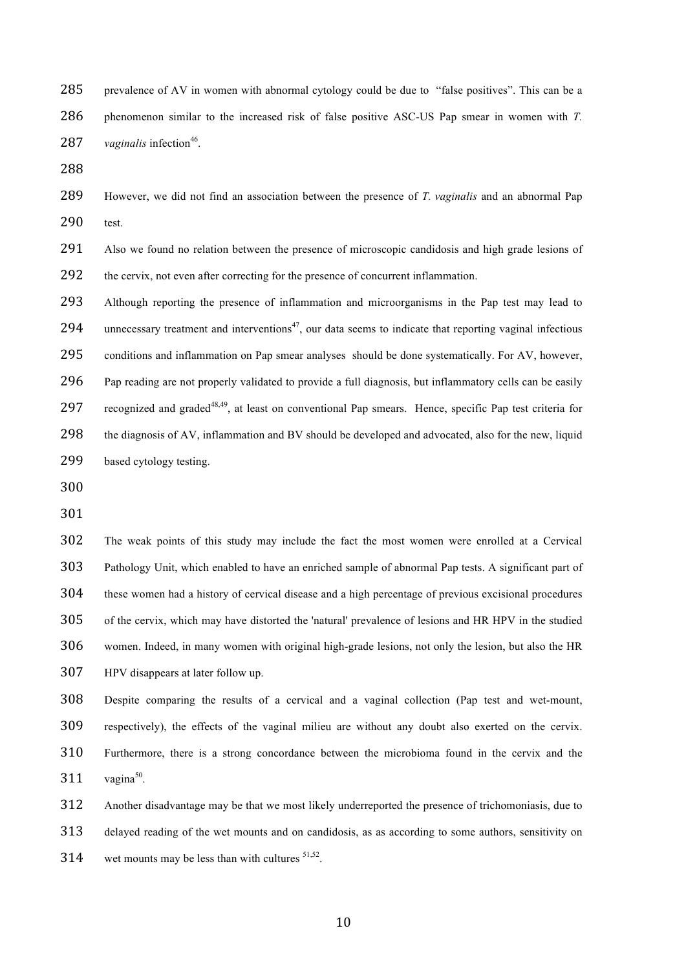prevalence of AV in women with abnormal cytology could be due to "false positives". This can be a phenomenon similar to the increased risk of false positive ASC-US Pap smear in women with *T.* 287 vaginalis infection<sup>46</sup>.

 However, we did not find an association between the presence of *T. vaginalis* and an abnormal Pap test.

 Also we found no relation between the presence of microscopic candidosis and high grade lesions of the cervix, not even after correcting for the presence of concurrent inflammation.

 Although reporting the presence of inflammation and microorganisms in the Pap test may lead to 294 unnecessary treatment and interventions<sup>47</sup>, our data seems to indicate that reporting vaginal infectious conditions and inflammation on Pap smear analyses should be done systematically. For AV, however, 296 Pap reading are not properly validated to provide a full diagnosis, but inflammatory cells can be easily 297 recognized and graded<sup>48,49</sup>, at least on conventional Pap smears. Hence, specific Pap test criteria for the diagnosis of AV, inflammation and BV should be developed and advocated, also for the new, liquid based cytology testing.

 The weak points of this study may include the fact the most women were enrolled at a Cervical Pathology Unit, which enabled to have an enriched sample of abnormal Pap tests. A significant part of these women had a history of cervical disease and a high percentage of previous excisional procedures of the cervix, which may have distorted the 'natural' prevalence of lesions and HR HPV in the studied women. Indeed, in many women with original high-grade lesions, not only the lesion, but also the HR HPV disappears at later follow up.

 Despite comparing the results of a cervical and a vaginal collection (Pap test and wet-mount, respectively), the effects of the vaginal milieu are without any doubt also exerted on the cervix. Furthermore, there is a strong concordance between the microbioma found in the cervix and the  $vaqina<sup>50</sup>$ .

 Another disadvantage may be that we most likely underreported the presence of trichomoniasis, due to delayed reading of the wet mounts and on candidosis, as as according to some authors, sensitivity on 314 wet mounts may be less than with cultures  $51,52$ .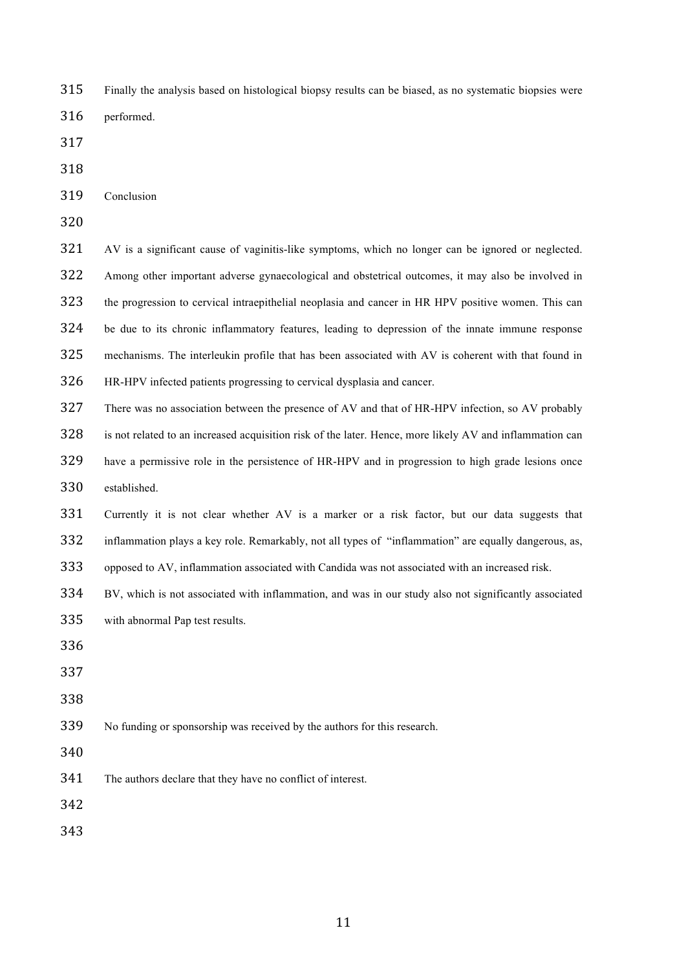|  | 315 Finally the analysis based on histological biopsy results can be biased, as no systematic biopsies were |  |  |  |  |
|--|-------------------------------------------------------------------------------------------------------------|--|--|--|--|
|--|-------------------------------------------------------------------------------------------------------------|--|--|--|--|

- performed.
- 
- 
- Conclusion
- 

 AV is a significant cause of vaginitis-like symptoms, which no longer can be ignored or neglected. Among other important adverse gynaecological and obstetrical outcomes, it may also be involved in the progression to cervical intraepithelial neoplasia and cancer in HR HPV positive women. This can be due to its chronic inflammatory features, leading to depression of the innate immune response mechanisms. The interleukin profile that has been associated with AV is coherent with that found in HR-HPV infected patients progressing to cervical dysplasia and cancer.

There was no association between the presence of AV and that of HR-HPV infection, so AV probably

- 328 is not related to an increased acquisition risk of the later. Hence, more likely AV and inflammation can have a permissive role in the persistence of HR-HPV and in progression to high grade lesions once
- established.

 Currently it is not clear whether AV is a marker or a risk factor, but our data suggests that inflammation plays a key role. Remarkably, not all types of "inflammation" are equally dangerous, as,

opposed to AV, inflammation associated with Candida was not associated with an increased risk.

 BV, which is not associated with inflammation, and was in our study also not significantly associated with abnormal Pap test results.

- 
- 
- 

No funding or sponsorship was received by the authors for this research.

The authors declare that they have no conflict of interest.

- 
-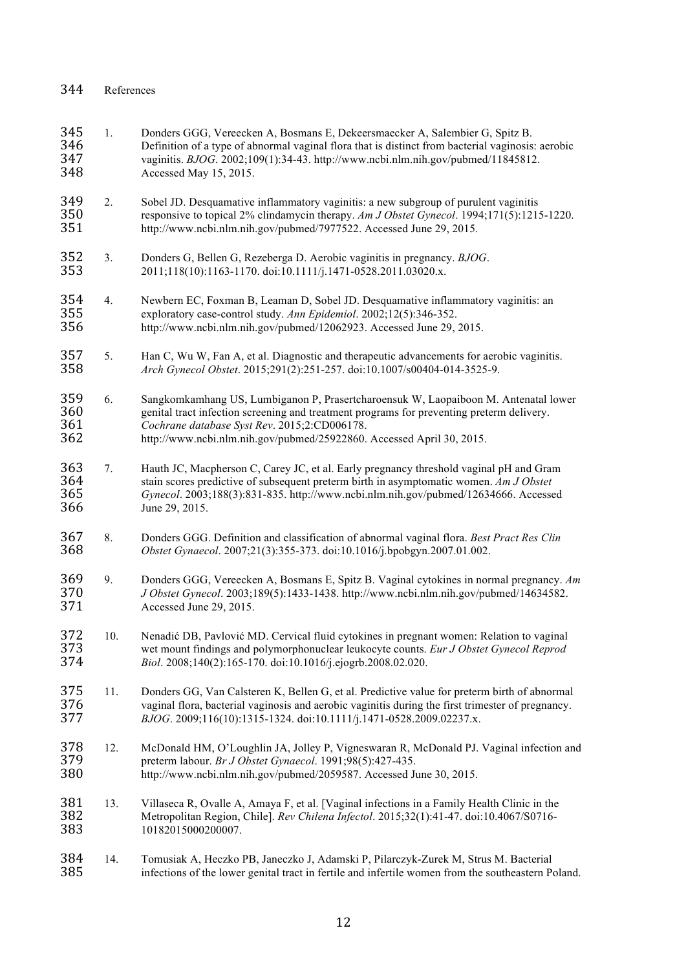| 345<br>346<br>347<br>348 | 1.  | Donders GGG, Vereecken A, Bosmans E, Dekeersmaecker A, Salembier G, Spitz B.<br>Definition of a type of abnormal vaginal flora that is distinct from bacterial vaginosis: aerobic<br>vaginitis. BJOG. 2002;109(1):34-43. http://www.ncbi.nlm.nih.gov/pubmed/11845812.<br>Accessed May 15, 2015.           |
|--------------------------|-----|-----------------------------------------------------------------------------------------------------------------------------------------------------------------------------------------------------------------------------------------------------------------------------------------------------------|
| 349<br>350<br>351        | 2.  | Sobel JD. Desquamative inflammatory vaginitis: a new subgroup of purulent vaginitis<br>responsive to topical 2% clindamycin therapy. Am J Obstet Gynecol. 1994;171(5):1215-1220.<br>http://www.ncbi.nlm.nih.gov/pubmed/7977522. Accessed June 29, 2015.                                                   |
| 352<br>353               | 3.  | Donders G, Bellen G, Rezeberga D. Aerobic vaginitis in pregnancy. BJOG.<br>2011;118(10):1163-1170. doi:10.1111/j.1471-0528.2011.03020.x.                                                                                                                                                                  |
| 354<br>355<br>356        | 4.  | Newbern EC, Foxman B, Leaman D, Sobel JD. Desquamative inflammatory vaginitis: an<br>exploratory case-control study. Ann Epidemiol. 2002;12(5):346-352.<br>http://www.ncbi.nlm.nih.gov/pubmed/12062923. Accessed June 29, 2015.                                                                           |
| 357<br>358               | 5.  | Han C, Wu W, Fan A, et al. Diagnostic and therapeutic advancements for aerobic vaginitis.<br>Arch Gynecol Obstet. 2015;291(2):251-257. doi:10.1007/s00404-014-3525-9.                                                                                                                                     |
| 359<br>360<br>361<br>362 | 6.  | Sangkomkamhang US, Lumbiganon P, Prasertcharoensuk W, Laopaiboon M. Antenatal lower<br>genital tract infection screening and treatment programs for preventing preterm delivery.<br>Cochrane database Syst Rev. 2015;2:CD006178.<br>http://www.ncbi.nlm.nih.gov/pubmed/25922860. Accessed April 30, 2015. |
| 363<br>364<br>365<br>366 | 7.  | Hauth JC, Macpherson C, Carey JC, et al. Early pregnancy threshold vaginal pH and Gram<br>stain scores predictive of subsequent preterm birth in asymptomatic women. Am J Obstet<br>Gynecol. 2003;188(3):831-835. http://www.ncbi.nlm.nih.gov/pubmed/12634666. Accessed<br>June 29, 2015.                 |
| 367<br>368               | 8.  | Donders GGG. Definition and classification of abnormal vaginal flora. Best Pract Res Clin<br>Obstet Gynaecol. 2007;21(3):355-373. doi:10.1016/j.bpobgyn.2007.01.002.                                                                                                                                      |
| 369<br>370<br>371        | 9.  | Donders GGG, Vereecken A, Bosmans E, Spitz B. Vaginal cytokines in normal pregnancy. Am<br>J Obstet Gynecol. 2003;189(5):1433-1438. http://www.ncbi.nlm.nih.gov/pubmed/14634582.<br>Accessed June 29, 2015.                                                                                               |
| 372<br>373<br>374        | 10. | Nenadić DB, Pavlović MD. Cervical fluid cytokines in pregnant women: Relation to vaginal<br>wet mount findings and polymorphonuclear leukocyte counts. Eur J Obstet Gynecol Reprod<br>Biol. 2008;140(2):165-170. doi:10.1016/j.ejogrb.2008.02.020.                                                        |
| 375<br>376<br>377        | 11. | Donders GG, Van Calsteren K, Bellen G, et al. Predictive value for preterm birth of abnormal<br>vaginal flora, bacterial vaginosis and aerobic vaginitis during the first trimester of pregnancy.<br>BJOG. 2009;116(10):1315-1324. doi:10.1111/j.1471-0528.2009.02237.x.                                  |
| 378<br>379<br>380        | 12. | McDonald HM, O'Loughlin JA, Jolley P, Vigneswaran R, McDonald PJ. Vaginal infection and<br>preterm labour. Br J Obstet Gynaecol. 1991;98(5):427-435.<br>http://www.ncbi.nlm.nih.gov/pubmed/2059587. Accessed June 30, 2015.                                                                               |
| 381<br>382<br>383        | 13. | Villaseca R, Ovalle A, Amaya F, et al. [Vaginal infections in a Family Health Clinic in the<br>Metropolitan Region, Chile]. Rev Chilena Infectol. 2015;32(1):41-47. doi:10.4067/S0716-<br>10182015000200007.                                                                                              |
| 384<br>385               | 14. | Tomusiak A, Heczko PB, Janeczko J, Adamski P, Pilarczyk-Zurek M, Strus M. Bacterial<br>infections of the lower genital tract in fertile and infertile women from the southeastern Poland.                                                                                                                 |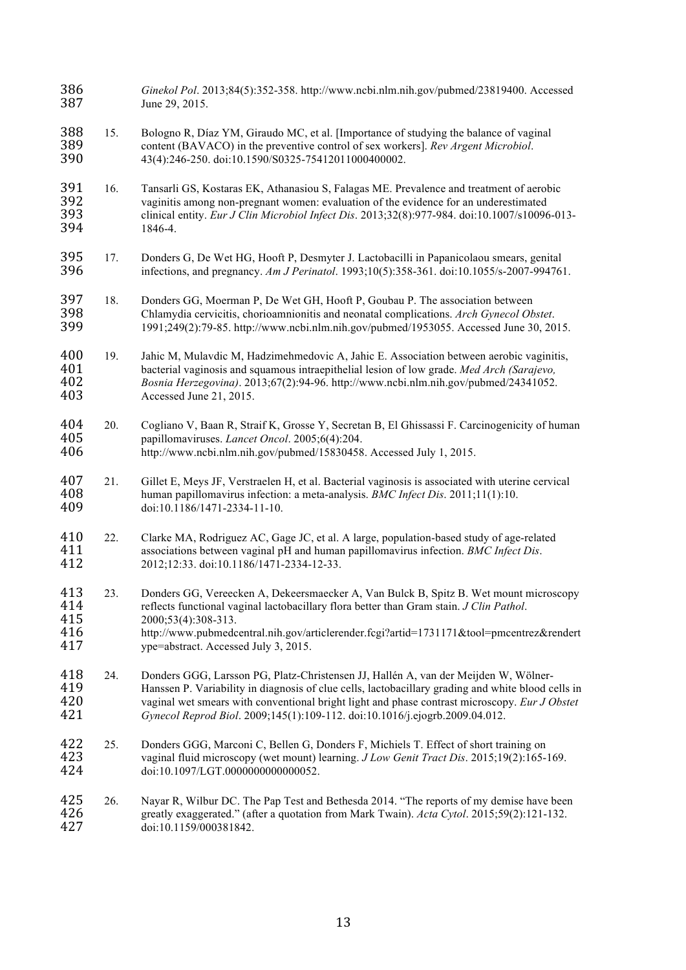| 386<br>387                      |     | Ginekol Pol. 2013;84(5):352-358. http://www.ncbi.nlm.nih.gov/pubmed/23819400. Accessed<br>June 29, 2015.                                                                                                                                                                                                                                                                  |
|---------------------------------|-----|---------------------------------------------------------------------------------------------------------------------------------------------------------------------------------------------------------------------------------------------------------------------------------------------------------------------------------------------------------------------------|
| 388<br>389<br>390               | 15. | Bologno R, Díaz YM, Giraudo MC, et al. [Importance of studying the balance of vaginal<br>content (BAVACO) in the preventive control of sex workers]. Rev Argent Microbiol.<br>43(4):246-250. doi:10.1590/S0325-75412011000400002.                                                                                                                                         |
| 391<br>392<br>393<br>394        | 16. | Tansarli GS, Kostaras EK, Athanasiou S, Falagas ME. Prevalence and treatment of aerobic<br>vaginitis among non-pregnant women: evaluation of the evidence for an underestimated<br>clinical entity. Eur J Clin Microbiol Infect Dis. 2013;32(8):977-984. doi:10.1007/s10096-013-<br>1846-4.                                                                               |
| 395<br>396                      | 17. | Donders G, De Wet HG, Hooft P, Desmyter J. Lactobacilli in Papanicolaou smears, genital<br>infections, and pregnancy. Am J Perinatol. 1993;10(5):358-361. doi:10.1055/s-2007-994761.                                                                                                                                                                                      |
| 397<br>398<br>399               | 18. | Donders GG, Moerman P, De Wet GH, Hooft P, Goubau P. The association between<br>Chlamydia cervicitis, chorioamnionitis and neonatal complications. Arch Gynecol Obstet.<br>1991;249(2):79-85. http://www.ncbi.nlm.nih.gov/pubmed/1953055. Accessed June 30, 2015.                                                                                                         |
| 400<br>401<br>402<br>403        | 19. | Jahic M, Mulavdic M, Hadzimehmedovic A, Jahic E. Association between aerobic vaginitis,<br>bacterial vaginosis and squamous intraepithelial lesion of low grade. Med Arch (Sarajevo,<br>Bosnia Herzegovina). 2013;67(2):94-96. http://www.ncbi.nlm.nih.gov/pubmed/24341052.<br>Accessed June 21, 2015.                                                                    |
| 404<br>405<br>406               | 20. | Cogliano V, Baan R, Straif K, Grosse Y, Secretan B, El Ghissassi F. Carcinogenicity of human<br>papillomaviruses. Lancet Oncol. 2005;6(4):204.<br>http://www.ncbi.nlm.nih.gov/pubmed/15830458. Accessed July 1, 2015.                                                                                                                                                     |
| 407<br>408<br>409               | 21. | Gillet E, Meys JF, Verstraelen H, et al. Bacterial vaginosis is associated with uterine cervical<br>human papillomavirus infection: a meta-analysis. BMC Infect Dis. 2011;11(1):10.<br>doi:10.1186/1471-2334-11-10.                                                                                                                                                       |
| 410<br>411<br>412               | 22. | Clarke MA, Rodriguez AC, Gage JC, et al. A large, population-based study of age-related<br>associations between vaginal pH and human papillomavirus infection. BMC Infect Dis.<br>2012;12:33. doi:10.1186/1471-2334-12-33.                                                                                                                                                |
| 413<br>414<br>415<br>416<br>417 | 23. | Donders GG, Vereecken A, Dekeersmaecker A, Van Bulck B, Spitz B. Wet mount microscopy<br>reflects functional vaginal lactobacillary flora better than Gram stain. J Clin Pathol.<br>2000;53(4):308-313.<br>http://www.pubmedcentral.nih.gov/articlerender.fcgi?artid=1731171&tool=pmcentrez&rendert<br>ype=abstract. Accessed July 3, 2015.                               |
| 418<br>419<br>420<br>421        | 24. | Donders GGG, Larsson PG, Platz-Christensen JJ, Hallén A, van der Meijden W, Wölner-<br>Hanssen P. Variability in diagnosis of clue cells, lactobacillary grading and white blood cells in<br>vaginal wet smears with conventional bright light and phase contrast microscopy. Eur J Obstet<br>Gynecol Reprod Biol. 2009;145(1):109-112. doi:10.1016/j.ejogrb.2009.04.012. |
| 422<br>423<br>424               | 25. | Donders GGG, Marconi C, Bellen G, Donders F, Michiels T. Effect of short training on<br>vaginal fluid microscopy (wet mount) learning. J Low Genit Tract Dis. 2015;19(2):165-169.<br>doi:10.1097/LGT.0000000000000052.                                                                                                                                                    |
| 425<br>426<br>427               | 26. | Nayar R, Wilbur DC. The Pap Test and Bethesda 2014. "The reports of my demise have been<br>greatly exaggerated." (after a quotation from Mark Twain). Acta Cytol. 2015;59(2):121-132.<br>doi:10.1159/000381842.                                                                                                                                                           |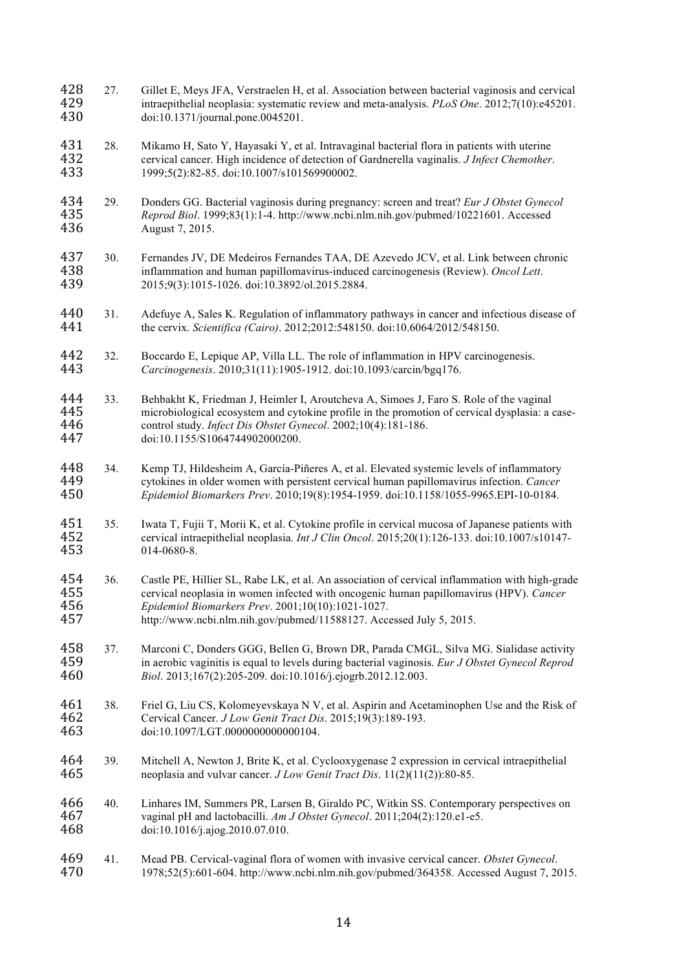- 428 27. Gillet E, Meys JFA, Verstraelen H, et al. Association between bacterial vaginosis and cervical<br>429 titraepithelial neoplasia: systematic review and meta-analysis. *PLoS One.* 2012:7(10):e45201. intraepithelial neoplasia: systematic review and meta-analysis. *PLoS One*. 2012;7(10):e45201. doi:10.1371/journal.pone.0045201.
- 431 28. Mikamo H, Sato Y, Hayasaki Y, et al. Intravaginal bacterial flora in patients with uterine<br>432 eervical cancer. High incidence of detection of Gardnerella vaginalis. *J Infect Chemother*  cervical cancer. High incidence of detection of Gardnerella vaginalis. *J Infect Chemother*. 1999;5(2):82-85. doi:10.1007/s101569900002.
- 29. Donders GG. Bacterial vaginosis during pregnancy: screen and treat? *Eur J Obstet Gynecol Reprod Biol*. 1999;83(1):1-4. http://www.ncbi.nlm.nih.gov/pubmed/10221601. Accessed August 7, 2015.
- 437 30. Fernandes JV, DE Medeiros Fernandes TAA, DE Azevedo JCV, et al. Link between chronic inflammation and human papillomavirus-induced carcinogenesis (Review). Oncol Lett. inflammation and human papillomavirus-induced carcinogenesis (Review). *Oncol Lett*. 2015;9(3):1015-1026. doi:10.3892/ol.2015.2884.
- 31. Adefuye A, Sales K. Regulation of inflammatory pathways in cancer and infectious disease of the cervix. *Scientifica (Cairo)*. 2012;2012:548150. doi:10.6064/2012/548150.
- 442 32. Boccardo E, Lepique AP, Villa LL. The role of inflammation in HPV carcinogenesis.<br>443 *Carcinogenesis*. 2010:31(11):1905-1912. doi:10.1093/carcin/bga176. *Carcinogenesis*. 2010;31(11):1905-1912. doi:10.1093/carcin/bgq176.
- 444 33. Behbakht K, Friedman J, Heimler I, Aroutcheva A, Simoes J, Faro S. Role of the vaginal<br>445 microbiological ecosystem and cytokine profile in the promotion of cervical dysplasia: a q 445 microbiological ecosystem and cytokine profile in the promotion of cervical dysplasia: a case-<br>446 control study. *Infect Dis Obstet Gynecol*. 2002;10(4):181-186. control study. *Infect Dis Obstet Gynecol*. 2002;10(4):181-186. doi:10.1155/S1064744902000200.
- 34. Kemp TJ, Hildesheim A, García-Piñeres A, et al. Elevated systemic levels of inflammatory cytokines in older women with persistent cervical human papillomavirus infection. *Cancer Epidemiol Biomarkers Prev*. 2010;19(8):1954-1959. doi:10.1158/1055-9965.EPI-10-0184.
- 451 35. Iwata T, Fujii T, Morii K, et al. Cytokine profile in cervical mucosa of Japanese patients with<br>452 cervical intraepithelial neoplasia. *Int J Clin Oncol*. 2015:20(1):126-133. doi:10.1007/s10147- cervical intraepithelial neoplasia. *Int J Clin Oncol*. 2015;20(1):126-133. doi:10.1007/s10147- 014-0680-8.
- 454 36. Castle PE, Hillier SL, Rabe LK, et al. An association of cervical inflammation with high-grade<br>455 cervical neoplasia in women infected with oncogenic human papillomavirus (HPV). Cancer cervical neoplasia in women infected with oncogenic human papillomavirus (HPV). *Cancer Epidemiol Biomarkers Prev*. 2001;10(10):1021-1027. http://www.ncbi.nlm.nih.gov/pubmed/11588127. Accessed July 5, 2015.
- 458 37. Marconi C, Donders GGG, Bellen G, Brown DR, Parada CMGL, Silva MG. Sialidase activity<br>459 in aerobic vaginitis is equal to levels during bacterial vaginosis. *Eur J Obstet Gynecol Reprod*  in aerobic vaginitis is equal to levels during bacterial vaginosis. *Eur J Obstet Gynecol Reprod Biol*. 2013;167(2):205-209. doi:10.1016/j.ejogrb.2012.12.003.
- 461 38. Friel G, Liu CS, Kolomeyevskaya N V, et al. Aspirin and Acetaminophen Use and the Risk of 462 Cervical Cancer. *J Low Genit Tract Dis.* 2015:19(3):189-193. Cervical Cancer. *J Low Genit Tract Dis*. 2015;19(3):189-193. doi:10.1097/LGT.0000000000000104.
- 464 39. Mitchell A, Newton J, Brite K, et al. Cyclooxygenase 2 expression in cervical intraepithelial<br>465 expression in cervical intraepithelial<br>465 expression in cervical intraepithelial<br>465 expression in cervical intraep neoplasia and vulvar cancer. *J Low Genit Tract Dis*. 11(2)(11(2)):80-85.
- 466 40. Linhares IM, Summers PR, Larsen B, Giraldo PC, Witkin SS. Contemporary perspectives on vaginal pH and lactobacilli. Am J Obstet Gynecol. 2011:204(2):120.e1-e5. vaginal pH and lactobacilli. *Am J Obstet Gynecol*. 2011;204(2):120.e1-e5. doi:10.1016/j.ajog.2010.07.010.
- 41. Mead PB. Cervical-vaginal flora of women with invasive cervical cancer. *Obstet Gynecol*. 1978;52(5):601-604. http://www.ncbi.nlm.nih.gov/pubmed/364358. Accessed August 7, 2015.